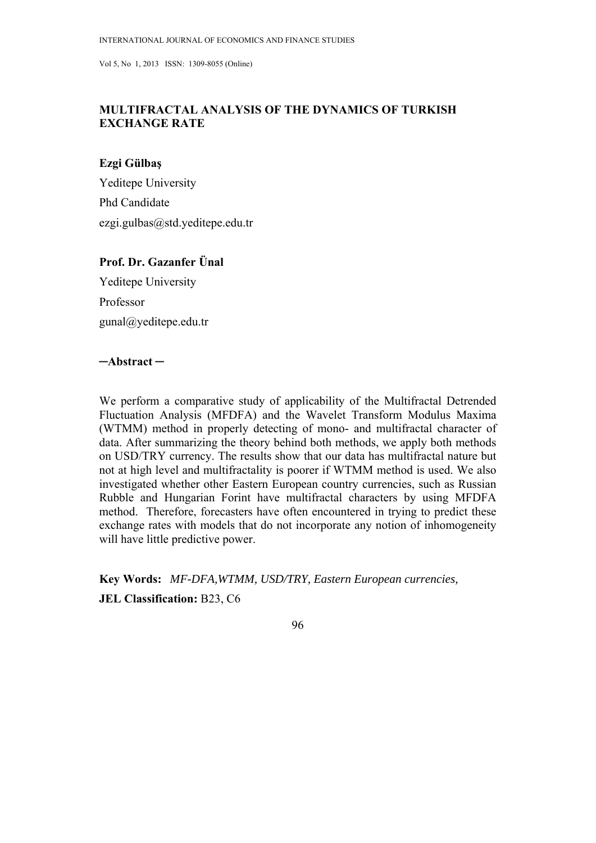# **MULTIFRACTAL ANALYSIS OF THE DYNAMICS OF TURKISH EXCHANGE RATE**

## **Ezgi Gülbaş**

Yeditepe University Phd Candidate ezgi.gulbas@std.yeditepe.edu.tr

# **Prof. Dr. Gazanfer Ünal**

Yeditepe University Professor gunal@yeditepe.edu.tr

#### **─Abstract ─**

We perform a comparative study of applicability of the Multifractal Detrended Fluctuation Analysis (MFDFA) and the Wavelet Transform Modulus Maxima (WTMM) method in properly detecting of mono- and multifractal character of data. After summarizing the theory behind both methods, we apply both methods on USD/TRY currency. The results show that our data has multifractal nature but not at high level and multifractality is poorer if WTMM method is used. We also investigated whether other Eastern European country currencies, such as Russian Rubble and Hungarian Forint have multifractal characters by using MFDFA method. Therefore, forecasters have often encountered in trying to predict these exchange rates with models that do not incorporate any notion of inhomogeneity will have little predictive power.

**Key Words:** *MF-DFA,WTMM, USD/TRY, Eastern European currencies,*  **JEL Classification:** B23, C6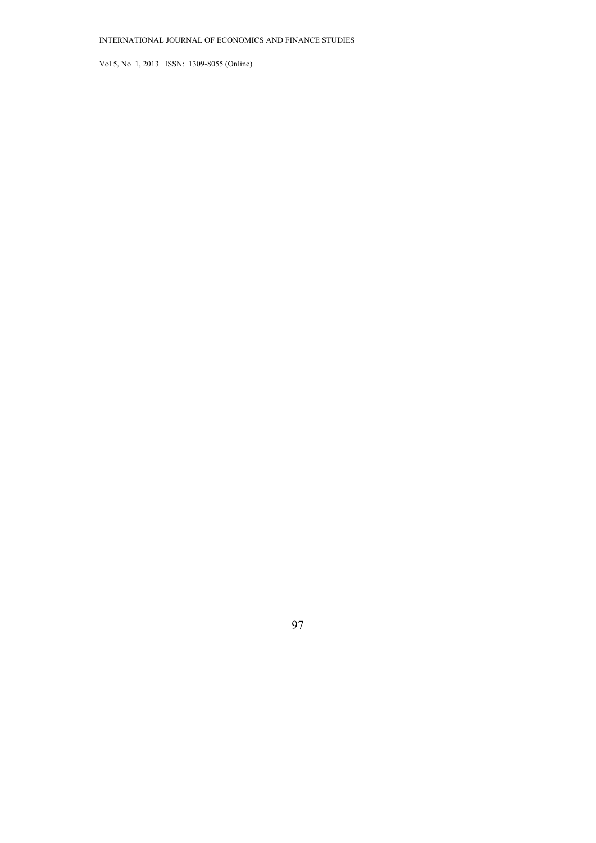# INTERNATIONAL JOURNAL OF ECONOMICS AND FINANCE STUDIES

Vol 5, No 1, 2013 ISSN: 1309-8055 (Online)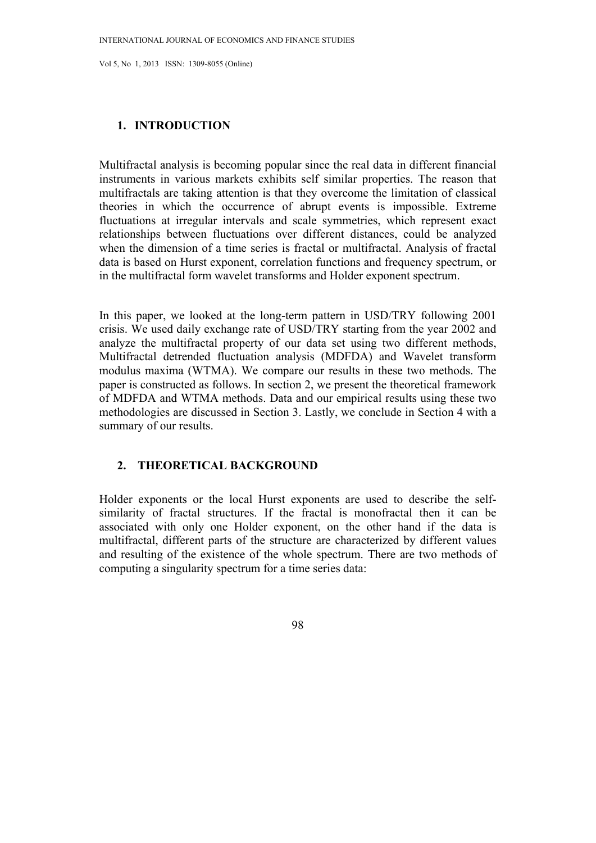### **1. INTRODUCTION**

Multifractal analysis is becoming popular since the real data in different financial instruments in various markets exhibits self similar properties. The reason that multifractals are taking attention is that they overcome the limitation of classical theories in which the occurrence of abrupt events is impossible. Extreme fluctuations at irregular intervals and scale symmetries, which represent exact relationships between fluctuations over different distances, could be analyzed when the dimension of a time series is fractal or multifractal. Analysis of fractal data is based on Hurst exponent, correlation functions and frequency spectrum, or in the multifractal form wavelet transforms and Holder exponent spectrum.

In this paper, we looked at the long-term pattern in USD/TRY following 2001 crisis. We used daily exchange rate of USD/TRY starting from the year 2002 and analyze the multifractal property of our data set using two different methods, Multifractal detrended fluctuation analysis (MDFDA) and Wavelet transform modulus maxima (WTMA). We compare our results in these two methods. The paper is constructed as follows. In section 2, we present the theoretical framework of MDFDA and WTMA methods. Data and our empirical results using these two methodologies are discussed in Section 3. Lastly, we conclude in Section 4 with a summary of our results.

## **2. THEORETICAL BACKGROUND**

Holder exponents or the local Hurst exponents are used to describe the selfsimilarity of fractal structures. If the fractal is monofractal then it can be associated with only one Holder exponent, on the other hand if the data is multifractal, different parts of the structure are characterized by different values and resulting of the existence of the whole spectrum. There are two methods of computing a singularity spectrum for a time series data: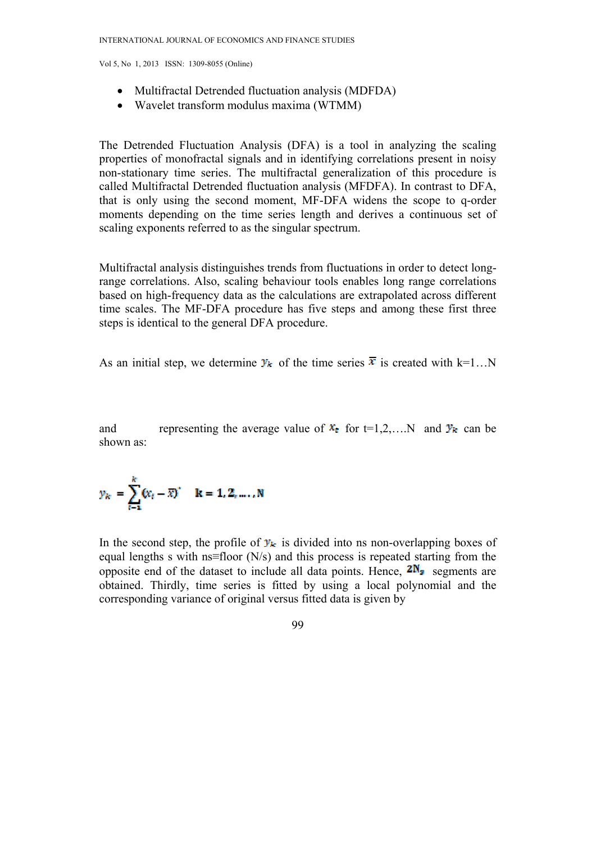- Multifractal Detrended fluctuation analysis (MDFDA)
- Wavelet transform modulus maxima (WTMM)

The Detrended Fluctuation Analysis (DFA) is a tool in analyzing the scaling properties of monofractal signals and in identifying correlations present in noisy non-stationary time series. The multifractal generalization of this procedure is called Multifractal Detrended fluctuation analysis (MFDFA). In contrast to DFA, that is only using the second moment, MF-DFA widens the scope to q-order moments depending on the time series length and derives a continuous set of scaling exponents referred to as the singular spectrum.

Multifractal analysis distinguishes trends from fluctuations in order to detect longrange correlations. Also, scaling behaviour tools enables long range correlations based on high-frequency data as the calculations are extrapolated across different time scales. The MF-DFA procedure has five steps and among these first three steps is identical to the general DFA procedure.

As an initial step, we determine  $y_k$  of the time series  $\bar{x}$  is created with k=1...N

and representing the average value of  $x_t$  for  $t=1,2,...N$  and  $y_k$  can be shown as:

$$
y_k = \sum_{t=1}^k (x_t - \overline{x})^* \quad \mathbf{k} = 1, 2, \dots, N
$$

In the second step, the profile of  $y_k$  is divided into ns non-overlapping boxes of equal lengths s with ns≡floor (N/s) and this process is repeated starting from the opposite end of the dataset to include all data points. Hence,  $2N_s$  segments are obtained. Thirdly, time series is fitted by using a local polynomial and the corresponding variance of original versus fitted data is given by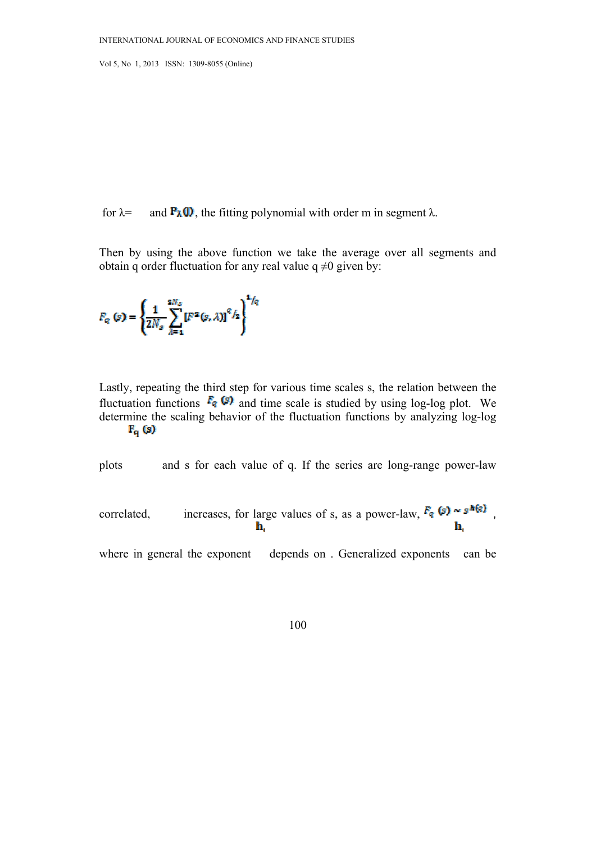for  $\lambda$ = and  $\mathbf{P}_{\lambda} \mathbf{0}$ , the fitting polynomial with order m in segment  $\lambda$ .

Then by using the above function we take the average over all segments and obtain q order fluctuation for any real value  $q \neq 0$  given by:

$$
F_{q}\left(g\right)=\left\{ \frac{1}{2N_{s}}\sum_{\lambda=1}^{2N_{s}}\left[F^{2}\left(g,\lambda\right)\right]^{q}/_{2}\right\} ^{1/q}
$$

Lastly, repeating the third step for various time scales s, the relation between the fluctuation functions  $\mathbf{F}_q$  (5) and time scale is studied by using log-log plot. We determine the scaling behavior of the fluctuation functions by analyzing log-log  $\mathbf{F_q}$  (s)

plots and s for each value of q. If the series are long-range power-law

correlated, increases, for large values of s, as a power-law,  $\frac{F_q(s) \sim s^{h(q)}}{h_q}$ ,

where in general the exponent depends on . Generalized exponents can be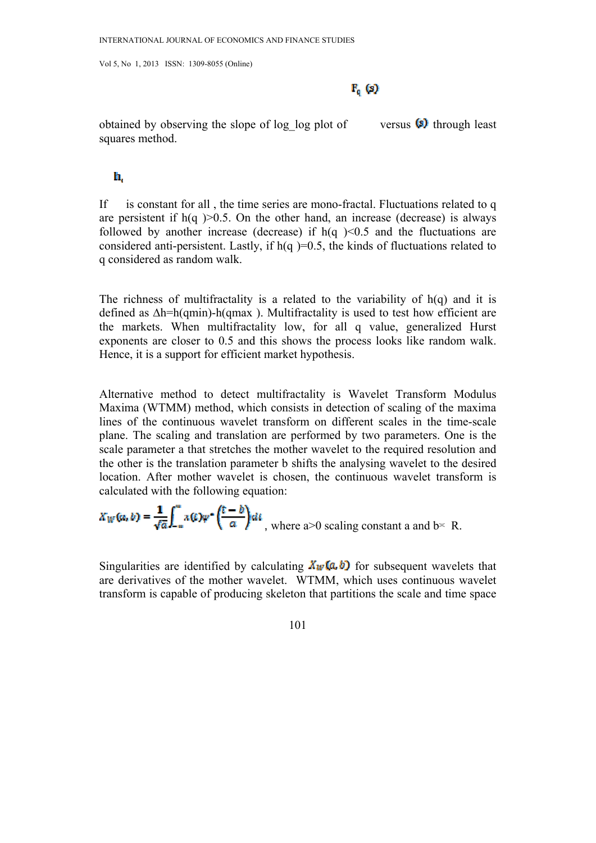$F_0$  (s)

obtained by observing the slope of log log plot of versus  $\bullet$  through least squares method.

# 'n,

If is constant for all , the time series are mono-fractal. Fluctuations related to q are persistent if  $h(q) > 0.5$ . On the other hand, an increase (decrease) is always followed by another increase (decrease) if  $h(q)$  <0.5 and the fluctuations are considered anti-persistent. Lastly, if  $h(q) = 0.5$ , the kinds of fluctuations related to q considered as random walk.

The richness of multifractality is a related to the variability of  $h(q)$  and it is defined as ∆h=h(qmin)-h(qmax ). Multifractality is used to test how efficient are the markets. When multifractality low, for all q value, generalized Hurst exponents are closer to 0.5 and this shows the process looks like random walk. Hence, it is a support for efficient market hypothesis.

Alternative method to detect multifractality is Wavelet Transform Modulus Maxima (WTMM) method, which consists in detection of scaling of the maxima lines of the continuous wavelet transform on different scales in the time-scale plane. The scaling and translation are performed by two parameters. One is the scale parameter a that stretches the mother wavelet to the required resolution and the other is the translation parameter b shifts the analysing wavelet to the desired location. After mother wavelet is chosen, the continuous wavelet transform is calculated with the following equation:

$$
X_W(a, b) = \frac{1}{\sqrt{a}} \int_{-\infty}^{\infty} x(t) \psi^* \left( \frac{t - b}{a} \right) dt
$$
, where a>0 scaling constant a and b $\geq R$ .

Singularities are identified by calculating  $X_W(a, b)$  for subsequent wavelets that are derivatives of the mother wavelet. WTMM, which uses continuous wavelet transform is capable of producing skeleton that partitions the scale and time space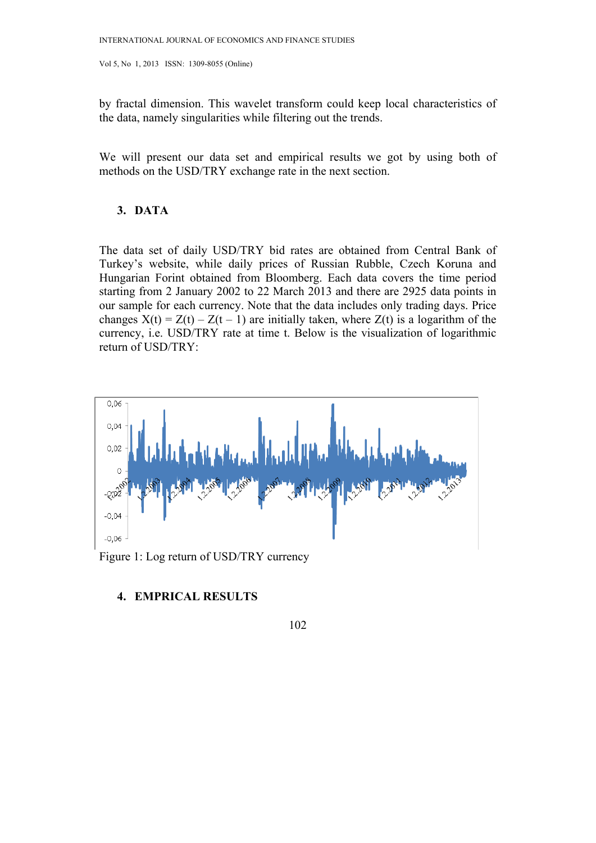by fractal dimension. This wavelet transform could keep local characteristics of the data, namely singularities while filtering out the trends.

We will present our data set and empirical results we got by using both of methods on the USD/TRY exchange rate in the next section.

#### **3. DATA**

The data set of daily USD/TRY bid rates are obtained from Central Bank of Turkey's website, while daily prices of Russian Rubble, Czech Koruna and Hungarian Forint obtained from Bloomberg. Each data covers the time period starting from 2 January 2002 to 22 March 2013 and there are 2925 data points in our sample for each currency. Note that the data includes only trading days. Price changes  $X(t) = Z(t) - Z(t-1)$  are initially taken, where  $Z(t)$  is a logarithm of the currency, i.e. USD/TRY rate at time t. Below is the visualization of logarithmic return of USD/TRY:



Figure 1: Log return of USD/TRY currency

## **4. EMPRICAL RESULTS**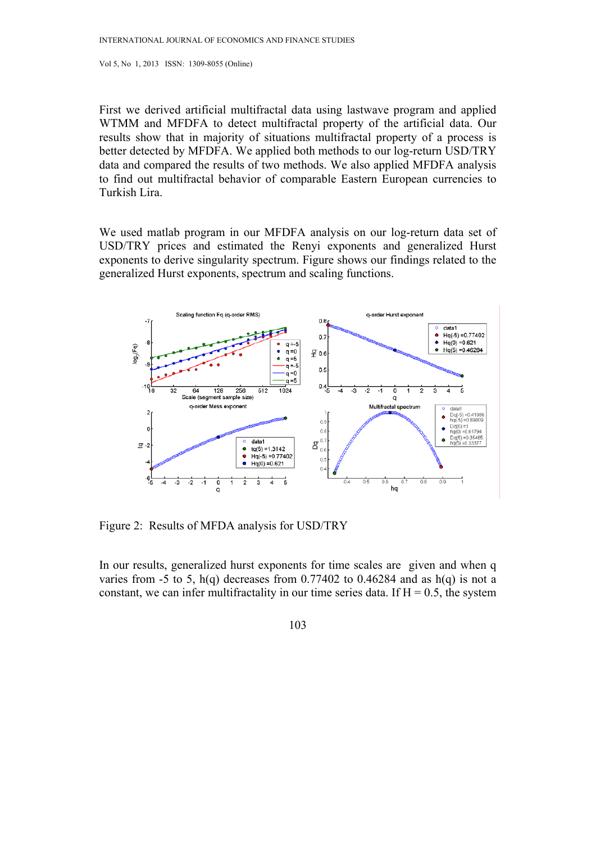First we derived artificial multifractal data using lastwave program and applied WTMM and MFDFA to detect multifractal property of the artificial data. Our results show that in majority of situations multifractal property of a process is better detected by MFDFA. We applied both methods to our log-return USD/TRY data and compared the results of two methods. We also applied MFDFA analysis to find out multifractal behavior of comparable Eastern European currencies to Turkish Lira.

We used matlab program in our MFDFA analysis on our log-return data set of USD/TRY prices and estimated the Renyi exponents and generalized Hurst exponents to derive singularity spectrum. Figure shows our findings related to the generalized Hurst exponents, spectrum and scaling functions.



Figure 2: Results of MFDA analysis for USD/TRY

In our results, generalized hurst exponents for time scales are given and when q varies from -5 to 5, h(q) decreases from  $0.77402$  to  $0.46284$  and as h(q) is not a constant, we can infer multifractality in our time series data. If  $H = 0.5$ , the system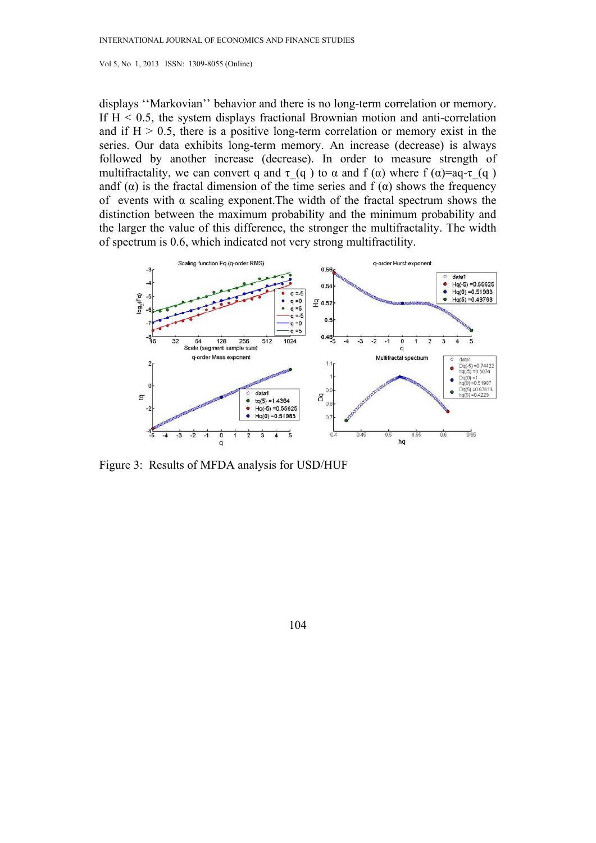displays ''Markovian'' behavior and there is no long-term correlation or memory. If  $H < 0.5$ , the system displays fractional Brownian motion and anti-correlation and if  $H > 0.5$ , there is a positive long-term correlation or memory exist in the series. Our data exhibits long-term memory. An increase (decrease) is always followed by another increase (decrease). In order to measure strength of multifractality, we can convert q and  $\tau$  (q) to  $\alpha$  and f ( $\alpha$ ) where f ( $\alpha$ )=aq- $\tau$  (q) andf  $(\alpha)$  is the fractal dimension of the time series and f  $(\alpha)$  shows the frequency of events with  $\alpha$  scaling exponent. The width of the fractal spectrum shows the distinction between the maximum probability and the minimum probability and the larger the value of this difference, the stronger the multifractality. The width of spectrum is 0.6, which indicated not very strong multifractility.



Figure 3: Results of MFDA analysis for USD/HUF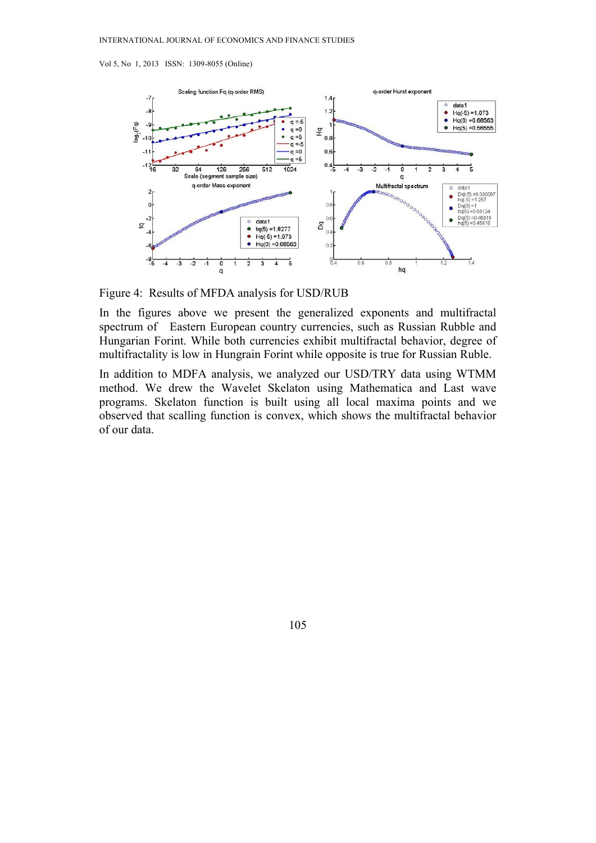

Figure 4: Results of MFDA analysis for USD/RUB

In the figures above we present the generalized exponents and multifractal spectrum of Eastern European country currencies, such as Russian Rubble and Hungarian Forint. While both currencies exhibit multifractal behavior, degree of multifractality is low in Hungrain Forint while opposite is true for Russian Ruble.

In addition to MDFA analysis, we analyzed our USD/TRY data using WTMM method. We drew the Wavelet Skelaton using Mathematica and Last wave programs. Skelaton function is built using all local maxima points and we observed that scalling function is convex, which shows the multifractal behavior of our data.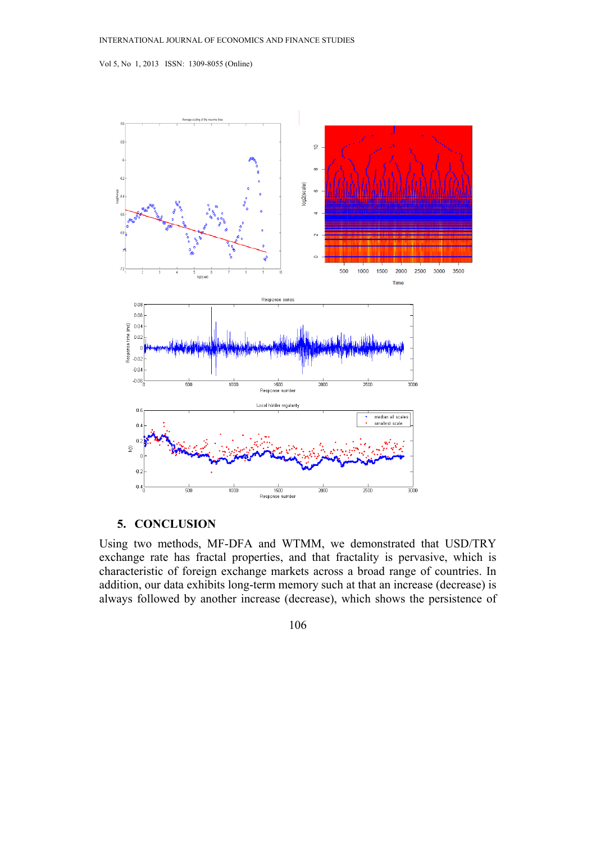

### **5. CONCLUSION**

Using two methods, MF-DFA and WTMM, we demonstrated that USD/TRY exchange rate has fractal properties, and that fractality is pervasive, which is characteristic of foreign exchange markets across a broad range of countries. In addition, our data exhibits long-term memory such at that an increase (decrease) is always followed by another increase (decrease), which shows the persistence of